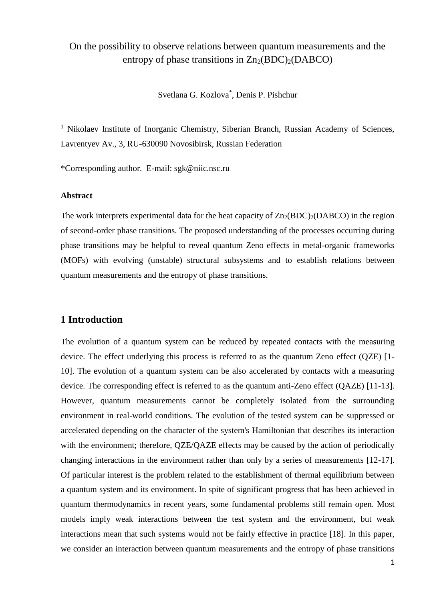# On the possibility to observe relations between quantum measurements and the entropy of phase transitions in  $Zn_2(BDC)_{2}(DABCO)$

Svetlana G. Kozlova\* , Denis P. Pishchur

<sup>1</sup> Nikolaev Institute of Inorganic Chemistry, Siberian Branch, Russian Academy of Sciences, Lavrentyev Av., 3, RU-630090 Novosibirsk, Russian Federation

\*Corresponding author. E-mail: sgk@niic.nsc.ru

### **Abstract**

The work interprets experimental data for the heat capacity of  $Zn_2(BDC)_2(DABCO)$  in the region of second-order phase transitions. The proposed understanding of the processes occurring during phase transitions may be helpful to reveal quantum Zeno effects in metal-organic frameworks (MOFs) with evolving (unstable) structural subsystems and to establish relations between quantum measurements and the entropy of phase transitions.

# **1 Introduction**

The evolution of a quantum system can be reduced by repeated contacts with the measuring device. The effect underlying this process is referred to as the quantum Zeno effect (QZE) [1- 10]. The evolution of a quantum system can be also accelerated by contacts with a measuring device. The corresponding effect is referred to as the quantum anti-Zeno effect (QAZE) [11-13]. However, quantum measurements cannot be completely isolated from the surrounding environment in real-world conditions. The evolution of the tested system can be suppressed or accelerated depending on the character of the system's Hamiltonian that describes its interaction with the environment; therefore, OZE/OAZE effects may be caused by the action of periodically changing interactions in the environment rather than only by a series of measurements [12-17]. Of particular interest is the problem related to the establishment of thermal equilibrium between a quantum system and its environment. In spite of significant progress that has been achieved in quantum thermodynamics in recent years, some fundamental problems still remain open. Most models imply weak interactions between the test system and the environment, but weak interactions mean that such systems would not be fairly effective in practice [18]. In this paper, we consider an interaction between quantum measurements and the entropy of phase transitions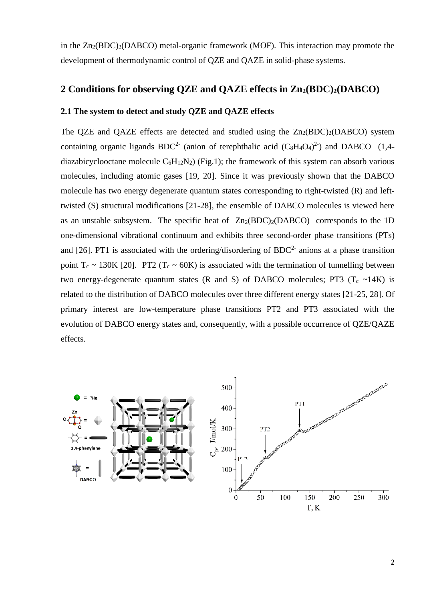in the  $Zn_2(BDC)2(DABCO)$  metal-organic framework (MOF). This interaction may promote the development of thermodynamic control of QZE and QAZE in solid-phase systems.

# **2 Conditions for observing QZE and QAZE effects in Zn2(BDC)2(DABCO)**

### **2.1 The system to detect and study QZE and QAZE effects**

The QZE and QAZE effects are detected and studied using the  $Zn_2(BDC)_2(DABCO)$  system containing organic ligands BDC<sup>2-</sup> (anion of terephthalic acid  $(C_8H_4O_4)^{2}$ ) and DABCO (1,4diazabicyclooctane molecule  $C_6H_{12}N_2$ ) (Fig.1); the framework of this system can absorb various molecules, including atomic gases [19, 20]. Since it was previously shown that the DABCO molecule has two energy degenerate quantum states corresponding to right-twisted (R) and lefttwisted (S) structural modifications [21-28], the ensemble of DABCO molecules is viewed here as an unstable subsystem. The specific heat of  $Zn_2(BDC)_2(DABCO)$  corresponds to the 1D one-dimensional vibrational continuum and exhibits three second-order phase transitions (PTs) and [26]. PT1 is associated with the ordering/disordering of BDC<sup>2-</sup> anions at a phase transition point  $T_c \sim 130K$  [20]. PT2 ( $T_c \sim 60K$ ) is associated with the termination of tunnelling between two energy-degenerate quantum states (R and S) of DABCO molecules; PT3 ( $T_c \sim 14K$ ) is related to the distribution of DABCO molecules over three different energy states [21-25, 28]. Of primary interest are low-temperature phase transitions PT2 and PT3 associated with the evolution of DABCO energy states and, consequently, with a possible occurrence of QZE/QAZE effects.

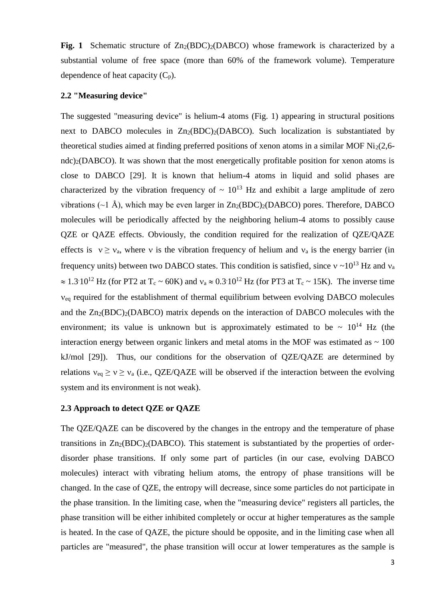Fig. 1 Schematic structure of  $Zn_2(BDC)_2(DABCO)$  whose framework is characterized by a substantial volume of free space (more than 60% of the framework volume). Temperature dependence of heat capacity  $(C_p)$ .

#### **2.2 "Measuring device"**

The suggested "measuring device" is helium-4 atoms (Fig. 1) appearing in structural positions next to DABCO molecules in  $Zn_2(BDC)_2(DABCO)$ . Such localization is substantiated by theoretical studies aimed at finding preferred positions of xenon atoms in a similar MOF Ni<sub>2</sub> $(2,6$ ndc)<sub>2</sub>(DABCO). It was shown that the most energetically profitable position for xenon atoms is close to DABCO [29]. It is known that helium-4 atoms in liquid and solid phases are characterized by the vibration frequency of  $\sim 10^{13}$  Hz and exhibit a large amplitude of zero vibrations ( $\sim$ 1 Å), which may be even larger in  $Zn_2(BDC)_2(DABCO)$  pores. Therefore, DABCO molecules will be periodically affected by the neighboring helium-4 atoms to possibly cause QZE or QAZE effects. Obviously, the condition required for the realization of QZE/QAZE effects is  $v \ge v_a$ , where v is the vibration frequency of helium and  $v_a$  is the energy barrier (in frequency units) between two DABCO states. This condition is satisfied, since  $v \sim 10^{13}$  Hz and  $v_a$  $\approx 1.3 \cdot 10^{12}$  Hz (for PT2 at T<sub>c</sub> ~ 60K) and  $v_a \approx 0.3 \cdot 10^{12}$  Hz (for PT3 at T<sub>c</sub> ~ 15K). The inverse time  $v_{eq}$  required for the establishment of thermal equilibrium between evolving DABCO molecules and the  $Zn_2(BDC)_2(DABCO)$  matrix depends on the interaction of DABCO molecules with the environment; its value is unknown but is approximately estimated to be  $\sim 10^{14}$  Hz (the interaction energy between organic linkers and metal atoms in the MOF was estimated as  $\sim 100$ kJ/mol [29]). Thus, our conditions for the observation of QZE/QAZE are determined by relations  $v_{eq} \ge v \ge v_a$  (i.e., QZE/QAZE will be observed if the interaction between the evolving system and its environment is not weak).

#### **2.3 Approach to detect QZE or QAZE**

The QZE/QAZE can be discovered by the changes in the entropy and the temperature of phase transitions in  $Zn_2(BDC)_2(DABCO)$ . This statement is substantiated by the properties of orderdisorder phase transitions. If only some part of particles (in our case, evolving DABCO molecules) interact with vibrating helium atoms, the entropy of phase transitions will be changed. In the case of QZE, the entropy will decrease, since some particles do not participate in the phase transition. In the limiting case, when the "measuring device" registers all particles, the phase transition will be either inhibited completely or occur at higher temperatures as the sample is heated. In the case of QAZE, the picture should be opposite, and in the limiting case when all particles are "measured", the phase transition will occur at lower temperatures as the sample is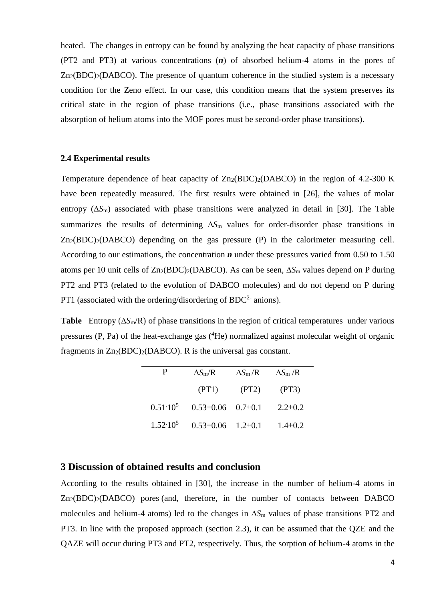heated. The changes in entropy can be found by analyzing the heat capacity of phase transitions (PT2 and PT3) at various concentrations (*n*) of absorbed helium-4 atoms in the pores of  $Zn_2(BDC)2(DABCO)$ . The presence of quantum coherence in the studied system is a necessary condition for the Zeno effect. In our case, this condition means that the system preserves its critical state in the region of phase transitions (i.e., phase transitions associated with the absorption of helium atoms into the MOF pores must be second-order phase transitions).

#### **2.4 Experimental results**

Temperature dependence of heat capacity of  $Zn_2(BDC)_2(DABCO)$  in the region of 4.2-300 K have been repeatedly measured. The first results were obtained in [26], the values of molar entropy  $(\Delta S_m)$  associated with phase transitions were analyzed in detail in [30]. The Table summarizes the results of determining  $\Delta S_m$  values for order-disorder phase transitions in  $Zn_2(BDC)_2(DABCO)$  depending on the gas pressure (P) in the calorimeter measuring cell. According to our estimations, the concentration *n* under these pressures varied from 0.50 to 1.50 atoms per 10 unit cells of  $Zn_2(BDC)_2(DABCO)$ . As can be seen,  $\Delta S_m$  values depend on P during PT2 and PT3 (related to the evolution of DABCO molecules) and do not depend on P during PT1 (associated with the ordering/disordering of BDC<sup>2-</sup> anions).

**Table** Entropy ( $\Delta S_m/R$ ) of phase transitions in the region of critical temperatures under various pressures  $(P, Pa)$  of the heat-exchange gas  $(^{4}He)$  normalized against molecular weight of organic fragments in  $Zn_2(BDC)_2(DABCO)$ . R is the universal gas constant.

|                   | $\Delta S_{\rm m}/R$      | $\Delta S_{\rm m}/R$ | $\Delta S_{\rm m}$ /R |
|-------------------|---------------------------|----------------------|-----------------------|
|                   | (PT1)                     | (PT2)                | (PT3)                 |
| $0.51 \cdot 10^5$ | $0.53\pm0.06$ $0.7\pm0.1$ |                      | $2.2 \pm 0.2$         |
| $1.52 \cdot 10^5$ | $0.53\pm0.06$ $1.2\pm0.1$ |                      | $1.4 \pm 0.2$         |

# **3 Discussion of obtained results and conclusion**

According to the results obtained in [30], the increase in the number of helium-4 atoms in  $Zn_2(BDC)_2(DABCO)$  pores (and, therefore, in the number of contacts between DABCO molecules and helium-4 atoms) led to the changes in  $\Delta S_m$  values of phase transitions PT2 and PT3. In line with the proposed approach (section 2.3), it can be assumed that the QZE and the QAZE will occur during PT3 and PT2, respectively. Thus, the sorption of helium-4 atoms in the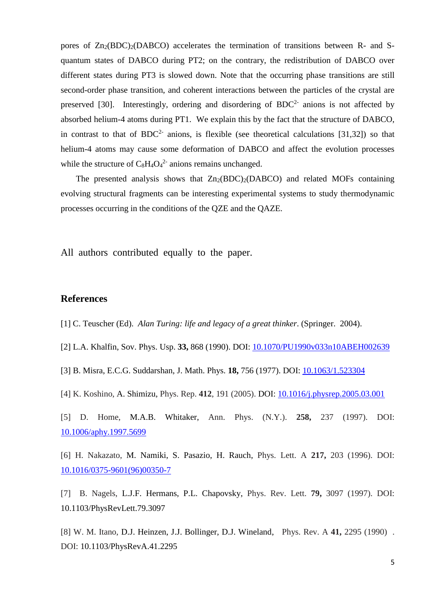pores of  $Zn_2(BDC)_2(DABCO)$  accelerates the termination of transitions between R- and Squantum states of DABCO during PT2; on the contrary, the redistribution of DABCO over different states during PT3 is slowed down. Note that the occurring phase transitions are still second-order phase transition, and coherent interactions between the particles of the crystal are preserved [30]. Interestingly, ordering and disordering of  $BDC<sup>2</sup>$  anions is not affected by absorbed helium-4 atoms during PT1. We explain this by the fact that the structure of DABCO, in contrast to that of  $BDC<sup>2</sup>$  anions, is flexible (see theoretical calculations [31,32]) so that helium-4 atoms may cause some deformation of DABCO and affect the evolution processes while the structure of  $C_8H_4O_4^2$  anions remains unchanged.

The presented analysis shows that  $Zn_2(BDC)_2(DABCO)$  and related MOFs containing evolving structural fragments can be interesting experimental systems to study thermodynamic processes occurring in the conditions of the QZE and the QAZE.

All authors contributed equally to the paper.

# **References**

- [1] C. Teuscher (Ed). *Alan Turing: life and legacy of a great thinker*. (Springer. 2004).
- [2] L.A. Khalfin, Sov. Phys. Usp. **33,** 868 (1990). DOI: [10.1070/PU1990v033n10ABEH002639](https://doi.org/10.1070/PU1990v033n10ABEH002639)
- [3] B. Misra, E.C.G. Suddarshan, J. Math. Phys. **18,** 756 (1977). DOI: [10.1063/1.523304](https://doi.org/10.1063/1.523304)
- [4] K. Koshino, A. Shimizu, Phys. Rep. **412**, 191 (2005). DOI: [10.1016/j.physrep.2005.03.001](https://doi.org/10.1016/j.physrep.2005.03.001)
- [5] D. Home, M.A.B. Whitaker, Ann. Phys. (N.Y.). **258,** 237 (1997). DOI: [10.1006/aphy.1997.5699](https://doi.org/10.1006/aphy.1997.5699)

[6] H. Nakazato, M. Namiki, S. Pasazio, H. Rauch, Phys. Lett. A **217,** 203 (1996). DOI: [10.1016/0375-9601\(96\)00350-7](https://arxiv.org/ct?url=https%3A%2F%2Fdx.doi.org%2F10.1016%2F0375-9601%252896%252900350-7&v=80c37352)

[7] B. Nagels, L.J.F. Hermans, P.L. Chapovsky, Phys. Rev. Lett. **79,** 3097 (1997). DOI: 10.1103/PhysRevLett.79.3097

[8] W. M. Itano, D.J. Heinzen, J.J. Bollinger, D.J. Wineland, Phys. Rev. A **41,** 2295 (1990) . DOI: 10.1103/PhysRevA.41.2295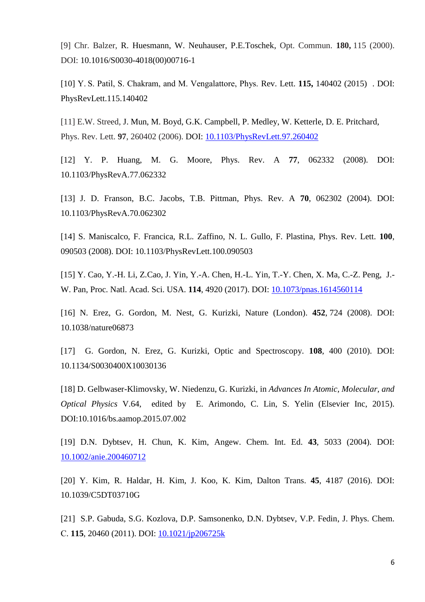[9] Chr. Balzer, R. Huesmann, W. Neuhauser, P.E.Toschek, Opt. Commun. **180,** 115 (2000). DOI: 10.1016/S0030-4018(00)00716-1

[10] Y. S. Patil, S. Chakram, and M. Vengalattore, Phys. Rev. Lett. **115,** 140402 (2015) . DOI: PhysRevLett.115.140402

[11] E.W. Streed, J. Mun, M. Boyd, G.K. Campbell, P. Medley, W. Ketterle, D. E. Pritchard, Phys. Rev. Lett. **97**, 260402 (2006). DOI: [10.1103/PhysRevLett.97.260402](https://doi.org/10.1103/PhysRevLett.97.260402)

[12] Y. P. Huang, M. G. Moore, Phys. Rev. A **77**, 062332 (2008). DOI: 10.1103/PhysRevA.77.062332

[13] J. D. Franson, B.C. Jacobs, T.B. Pittman, Phys. Rev. A **70**, 062302 (2004). DOI: 10.1103/PhysRevA.70.062302

[14] S. Maniscalco, F. Francica, R.L. Zaffino, N. L. Gullo, F. Plastina, Phys. Rev. Lett. **100**, 090503 (2008). DOI: 10.1103/PhysRevLett.100.090503

[15] Y. Cao, Y.-H. Li, Z.Cao, J. Yin, Y.-A. Chen, H.-L. Yin, T.-Y. Chen, X. Ma, C.-Z. Peng, J.- W. Pan, Proc. Natl. Acad. Sci. USA. **114**, 4920 (2017). DOI: [10.1073/pnas.1614560114](https://doi.org/10.1073/pnas.1614560114)

[16] N. Erez, G. Gordon, M. Nest, G. Kurizki, Nature (London). **452**, 724 (2008). DOI: 10.1038/nature06873

[17] G. Gordon, N. Erez, G. Kurizki, Optic and Spectroscopy. **108**, 400 (2010). DOI: 10.1134/S0030400X10030136

[18] D. Gelbwaser-Klimovsky, W. Niedenzu, G. Kurizki, in *Advances In Atomic, Molecular, and Optical Physics* V.64, edited by E. Arimondo, C. Lin, S. Yelin (Elsevier Inc, 2015). DOI:10.1016/bs.aamop.2015.07.002

[19] D.N. Dybtsev, H. Chun, K. Kim, Angew. Chem. Int. Ed. **43**, 5033 (2004). DOI: [10.1002/anie.200460712](https://doi.org/10.1002/anie.200460712)

[20] Y. Kim, R. Haldar, H. Kim, J. Koo, K. Kim, Dalton Trans. **45**, 4187 (2016). DOI: 10.1039/C5DT03710G

[21] S.P. Gabuda, S.G. Kozlova, D.P. Samsonenko, D.N. Dybtsev, V.P. Fedin, J. Phys. Chem. С. **115**, 20460 (2011). DOI: [10.1021/jp206725k](https://doi.org/10.1021/jp206725k)